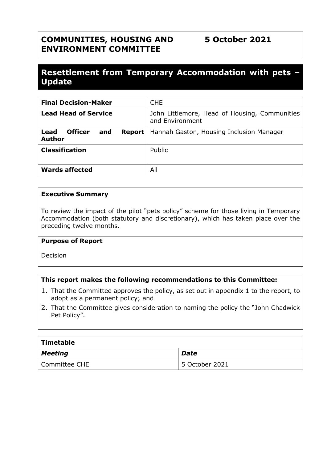# **COMMUNITIES, HOUSING AND ENVIRONMENT COMMITTEE**

# **Resettlement from Temporary Accommodation with pets – Update**

| <b>Final Decision-Maker</b>                              | <b>CHE</b>                                                       |  |
|----------------------------------------------------------|------------------------------------------------------------------|--|
| <b>Lead Head of Service</b>                              | John Littlemore, Head of Housing, Communities<br>and Environment |  |
| Lead<br><b>Officer</b><br>Report<br>and<br><b>Author</b> | Hannah Gaston, Housing Inclusion Manager                         |  |
| <b>Classification</b>                                    | Public                                                           |  |
| <b>Wards affected</b>                                    | All                                                              |  |

#### **Executive Summary**

To review the impact of the pilot "pets policy" scheme for those living in Temporary Accommodation (both statutory and discretionary), which has taken place over the preceding twelve months.

#### **Purpose of Report**

Decision

#### **This report makes the following recommendations to this Committee:**

- 1. That the Committee approves the policy, as set out in appendix 1 to the report, to adopt as a permanent policy; and
- 2. That the Committee gives consideration to naming the policy the "John Chadwick Pet Policy".

| Timetable       |                |  |  |  |
|-----------------|----------------|--|--|--|
| Meeting         | <b>Date</b>    |  |  |  |
| l Committee CHE | 5 October 2021 |  |  |  |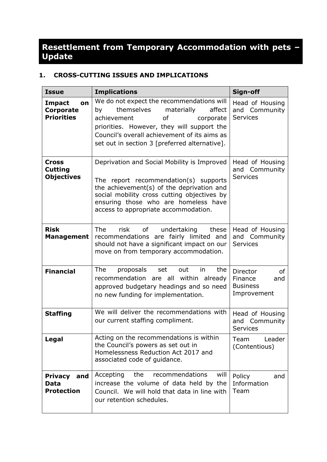# **Resettlement from Temporary Accommodation with pets – Update**

## **1. CROSS-CUTTING ISSUES AND IMPLICATIONS**

| <b>Issue</b>                                              | <b>Implications</b>                                                                                                                                                                                                                                                           | Sign-off                                                                  |
|-----------------------------------------------------------|-------------------------------------------------------------------------------------------------------------------------------------------------------------------------------------------------------------------------------------------------------------------------------|---------------------------------------------------------------------------|
| <b>Impact</b><br>on<br>Corporate<br><b>Priorities</b>     | We do not expect the recommendations will<br>themselves<br>materially<br>affect<br>by<br><b>of</b><br>achievement<br>corporate<br>priorities. However, they will support the<br>Council's overall achievement of its aims as<br>set out in section 3 [preferred alternative]. | Head of Housing<br>and Community<br><b>Services</b>                       |
| <b>Cross</b><br><b>Cutting</b><br><b>Objectives</b>       | Deprivation and Social Mobility is Improved<br>The report recommendation(s) supports<br>the achievement(s) of the deprivation and<br>social mobility cross cutting objectives by<br>ensuring those who are homeless have<br>access to appropriate accommodation.              | Head of Housing<br>and Community<br><b>Services</b>                       |
| <b>Risk</b><br><b>Management</b>                          | risk<br><b>The</b><br>of<br>undertaking<br>these<br>recommendations are fairly limited and<br>should not have a significant impact on our<br>move on from temporary accommodation.                                                                                            | Head of Housing<br>and Community<br><b>Services</b>                       |
| <b>Financial</b>                                          | The<br>proposals<br>the<br>set<br>out<br>in<br>recommendation are all within already<br>approved budgetary headings and so need<br>no new funding for implementation.                                                                                                         | <b>Director</b><br>of<br>Finance<br>and<br><b>Business</b><br>Improvement |
| <b>Staffing</b>                                           | We will deliver the recommendations with<br>our current staffing compliment.                                                                                                                                                                                                  | Head of Housing<br>Community<br>and<br><b>Services</b>                    |
| Legal                                                     | Acting on the recommendations is within<br>the Council's powers as set out in<br>Homelessness Reduction Act 2017 and<br>associated code of guidance.                                                                                                                          | Leader<br>Team<br>(Contentious)                                           |
| <b>Privacy</b><br>and<br><b>Data</b><br><b>Protection</b> | the<br>recommendations<br>will<br>Accepting<br>increase the volume of data held by the<br>Council. We will hold that data in line with<br>our retention schedules.                                                                                                            | Policy<br>and<br>Information<br>Team                                      |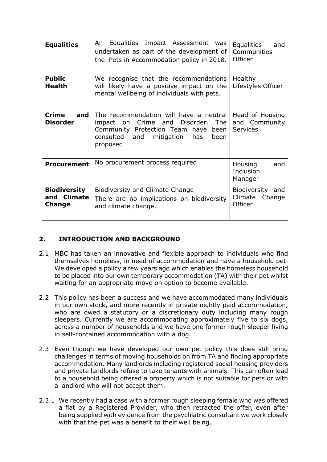| <b>Equalities</b>                                   | Equalities Impact Assessment<br>An<br>was<br>undertaken as part of the development of<br>the Pets in Accommodation policy in 2018.                                                                          | <b>Equalities</b><br>and<br>Communities<br>Officer  |
|-----------------------------------------------------|-------------------------------------------------------------------------------------------------------------------------------------------------------------------------------------------------------------|-----------------------------------------------------|
| <b>Public</b><br><b>Health</b>                      | We recognise that the recommendations<br>will likely have a positive impact on the<br>mental wellbeing of individuals with pets.                                                                            | <b>Healthy</b><br>Lifestyles Officer                |
| <b>Crime</b><br>and<br><b>Disorder</b>              | The recommendation will have a neutral<br>Crime<br>Disorder.<br><b>The</b><br>impact<br>and<br>on<br>Community Protection Team<br>have<br>been<br>consulted<br>mitigation<br>and<br>has<br>been<br>proposed | Head of Housing<br>and Community<br><b>Services</b> |
| <b>Procurement</b>                                  | No procurement process required                                                                                                                                                                             | Housing<br>and<br>Inclusion<br>Manager              |
| <b>Biodiversity</b><br>and Climate<br><b>Change</b> | <b>Biodiversity and Climate Change</b><br>There are no implications on biodiversity<br>and climate change.                                                                                                  | Biodiversity<br>and<br>Climate<br>Change<br>Officer |

# **2. INTRODUCTION AND BACKGROUND**

- 2.1 MBC has taken an innovative and flexible approach to individuals who find themselves homeless, in need of accommodation and have a household pet. We developed a policy a few years ago which enables the homeless household to be placed into our own temporary accommodation (TA) with their pet whilst waiting for an appropriate move on option to become available.
- 2.2 This policy has been a success and we have accommodated many individuals in our own stock, and more recently in private nightly paid accommodation, who are owed a statutory or a discretionary duty including many rough sleepers. Currently we are accommodating approximately five to six dogs, across a number of households and we have one former rough sleeper living in self-contained accommodation with a dog.
- 2.3 Even though we have developed our own pet policy this does still bring challenges in terms of moving households on from TA and finding appropriate accommodation. Many landlords including registered social housing providers and private landlords refuse to take tenants with animals. This can often lead to a household being offered a property which is not suitable for pets or with a landlord who will not accept them.
- 2.3.1 We recently had a case with a former rough sleeping female who was offered a flat by a Registered Provider, who then retracted the offer, even after being supplied with evidence from the psychiatric consultant we work closely with that the pet was a benefit to their well being.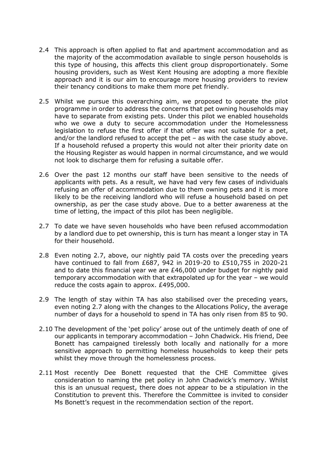- 2.4 This approach is often applied to flat and apartment accommodation and as the majority of the accommodation available to single person households is this type of housing, this affects this client group disproportionately. Some housing providers, such as West Kent Housing are adopting a more flexible approach and it is our aim to encourage more housing providers to review their tenancy conditions to make them more pet friendly.
- 2.5 Whilst we pursue this overarching aim, we proposed to operate the pilot programme in order to address the concerns that pet owning households may have to separate from existing pets. Under this pilot we enabled households who we owe a duty to secure accommodation under the Homelessness legislation to refuse the first offer if that offer was not suitable for a pet, and/or the landlord refused to accept the pet – as with the case study above. If a household refused a property this would not alter their priority date on the Housing Register as would happen in normal circumstance, and we would not look to discharge them for refusing a suitable offer.
- 2.6 Over the past 12 months our staff have been sensitive to the needs of applicants with pets. As a result, we have had very few cases of individuals refusing an offer of accommodation due to them owning pets and it is more likely to be the receiving landlord who will refuse a household based on pet ownership, as per the case study above. Due to a better awareness at the time of letting, the impact of this pilot has been negligible.
- 2.7 To date we have seven households who have been refused accommodation by a landlord due to pet ownership, this is turn has meant a longer stay in TA for their household.
- 2.8 Even noting 2.7, above, our nightly paid TA costs over the preceding years have continued to fall from £687, 942 in 2019-20 to £510,755 in 2020-21 and to date this financial year we are £46,000 under budget for nightly paid temporary accommodation with that extrapolated up for the year – we would reduce the costs again to approx. £495,000.
- 2.9 The length of stay within TA has also stabilised over the preceding years, even noting 2.7 along with the changes to the Allocations Policy, the average number of days for a household to spend in TA has only risen from 85 to 90.
- 2.10 The development of the 'pet policy' arose out of the untimely death of one of our applicants in temporary accommodation – John Chadwick. His friend, Dee Bonett has campaigned tirelessly both locally and nationally for a more sensitive approach to permitting homeless households to keep their pets whilst they move through the homelessness process.
- 2.11 Most recently Dee Bonett requested that the CHE Committee gives consideration to naming the pet policy in John Chadwick's memory. Whilst this is an unusual request, there does not appear to be a stipulation in the Constitution to prevent this. Therefore the Committee is invited to consider Ms Bonett's request in the recommendation section of the report.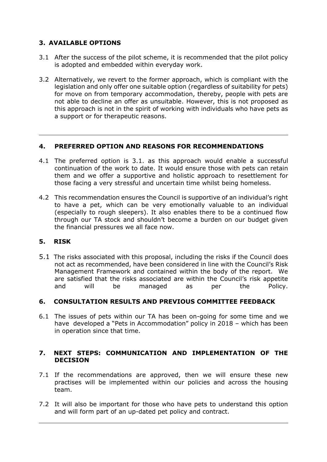## **3. AVAILABLE OPTIONS**

- 3.1 After the success of the pilot scheme, it is recommended that the pilot policy is adopted and embedded within everyday work.
- 3.2 Alternatively, we revert to the former approach, which is compliant with the legislation and only offer one suitable option (regardless of suitability for pets) for move on from temporary accommodation, thereby, people with pets are not able to decline an offer as unsuitable. However, this is not proposed as this approach is not in the spirit of working with individuals who have pets as a support or for therapeutic reasons.

#### **4. PREFERRED OPTION AND REASONS FOR RECOMMENDATIONS**

- 4.1 The preferred option is 3.1. as this approach would enable a successful continuation of the work to date. It would ensure those with pets can retain them and we offer a supportive and holistic approach to resettlement for those facing a very stressful and uncertain time whilst being homeless.
- 4.2 This recommendation ensures the Council is supportive of an individual's right to have a pet, which can be very emotionally valuable to an individual (especially to rough sleepers). It also enables there to be a continued flow through our TA stock and shouldn't become a burden on our budget given the financial pressures we all face now.

## **5. RISK**

5.1 The risks associated with this proposal, including the risks if the Council does not act as recommended, have been considered in line with the Council's Risk Management Framework and contained within the body of the report. We are satisfied that the risks associated are within the Council's risk appetite and will be managed as per the Policy.

## **6. CONSULTATION RESULTS AND PREVIOUS COMMITTEE FEEDBACK**

6.1 The issues of pets within our TA has been on-going for some time and we have developed a "Pets in Accommodation" policy in 2018 – which has been in operation since that time.

#### **7. NEXT STEPS: COMMUNICATION AND IMPLEMENTATION OF THE DECISION**

- 7.1 If the recommendations are approved, then we will ensure these new practises will be implemented within our policies and across the housing team.
- 7.2 It will also be important for those who have pets to understand this option and will form part of an up-dated pet policy and contract.